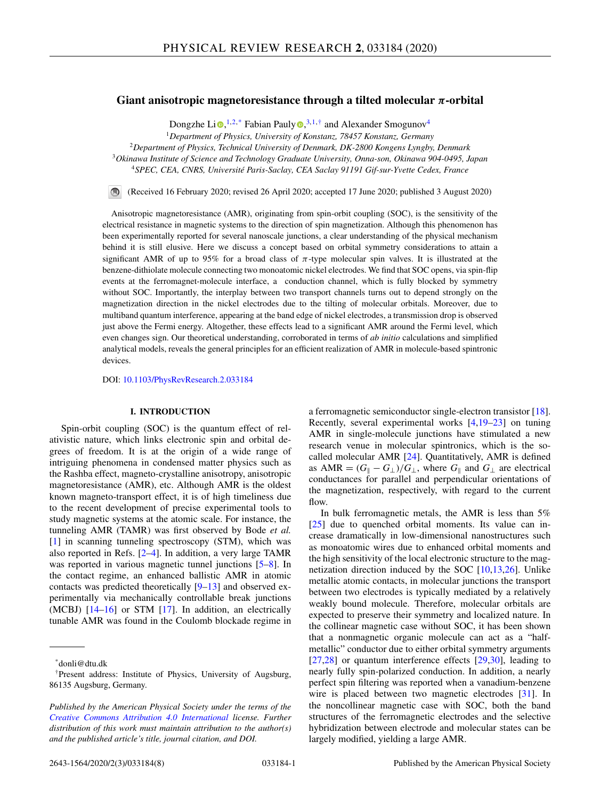# **Giant anisotropic magnetoresistance through a tilted molecular** *π***-orbital**

Dongzhe Li $\mathbf{D}$ [,](https://orcid.org/0000-0001-8017-2379)<sup>1,2,\*</sup> Fabian Pauly $\mathbf{D}$ ,<sup>3,1,†</sup> and Alexander Smogunov<sup>4</sup>

<sup>1</sup>*Department of Physics, University of Konstanz, 78457 Konstanz, Germany*

<sup>2</sup>*Department of Physics, Technical University of Denmark, DK-2800 Kongens Lyngby, Denmark*

<sup>3</sup>*Okinawa Institute of Science and Technology Graduate University, Onna-son, Okinawa 904-0495, Japan*

<sup>4</sup>*SPEC, CEA, CNRS, Université Paris-Saclay, CEA Saclay 91191 Gif-sur-Yvette Cedex, France*

(Received 16 February 2020; revised 26 April 2020; accepted 17 June 2020; published 3 August 2020)  $\bigcirc$ 

Anisotropic magnetoresistance (AMR), originating from spin-orbit coupling (SOC), is the sensitivity of the electrical resistance in magnetic systems to the direction of spin magnetization. Although this phenomenon has been experimentally reported for several nanoscale junctions, a clear understanding of the physical mechanism behind it is still elusive. Here we discuss a concept based on orbital symmetry considerations to attain a significant AMR of up to 95% for a broad class of  $\pi$ -type molecular spin valves. It is illustrated at the benzene-dithiolate molecule connecting two monoatomic nickel electrodes. We find that SOC opens, via spin-flip events at the ferromagnet-molecule interface, a conduction channel, which is fully blocked by symmetry without SOC. Importantly, the interplay between two transport channels turns out to depend strongly on the magnetization direction in the nickel electrodes due to the tilting of molecular orbitals. Moreover, due to multiband quantum interference, appearing at the band edge of nickel electrodes, a transmission drop is observed just above the Fermi energy. Altogether, these effects lead to a significant AMR around the Fermi level, which even changes sign. Our theoretical understanding, corroborated in terms of *ab initio* calculations and simplified analytical models, reveals the general principles for an efficient realization of AMR in molecule-based spintronic devices.

DOI: [10.1103/PhysRevResearch.2.033184](https://doi.org/10.1103/PhysRevResearch.2.033184)

## **I. INTRODUCTION**

Spin-orbit coupling (SOC) is the quantum effect of relativistic nature, which links electronic spin and orbital degrees of freedom. It is at the origin of a wide range of intriguing phenomena in condensed matter physics such as the Rashba effect, magneto-crystalline anisotropy, anisotropic magnetoresistance (AMR), etc. Although AMR is the oldest known magneto-transport effect, it is of high timeliness due to the recent development of precise experimental tools to study magnetic systems at the atomic scale. For instance, the tunneling AMR (TAMR) was first observed by Bode *et al.* [\[1\]](#page-6-0) in scanning tunneling spectroscopy (STM), which was also reported in Refs. [\[2–4\]](#page-6-0). In addition, a very large TAMR was reported in various magnetic tunnel junctions [\[5–8\]](#page-6-0). In the contact regime, an enhanced ballistic AMR in atomic contacts was predicted theoretically [\[9–13\]](#page-6-0) and observed experimentally via mechanically controllable break junctions (MCBJ)  $[14–16]$  or STM  $[17]$ . In addition, an electrically tunable AMR was found in the Coulomb blockade regime in a ferromagnetic semiconductor single-electron transistor [\[18\]](#page-6-0). Recently, several experimental works [\[4,19–](#page-6-0)[23\]](#page-7-0) on tuning AMR in single-molecule junctions have stimulated a new research venue in molecular spintronics, which is the socalled molecular AMR [\[24\]](#page-7-0). Quantitatively, AMR is defined as  $AMR = (G_{\parallel} - G_{\perp})/G_{\perp}$ , where  $G_{\parallel}$  and  $G_{\perp}$  are electrical conductances for parallel and perpendicular orientations of the magnetization, respectively, with regard to the current flow.

In bulk ferromagnetic metals, the AMR is less than 5% [\[25\]](#page-7-0) due to quenched orbital moments. Its value can increase dramatically in low-dimensional nanostructures such as monoatomic wires due to enhanced orbital moments and the high sensitivity of the local electronic structure to the magnetization direction induced by the SOC [\[10,13,](#page-6-0)[26\]](#page-7-0). Unlike metallic atomic contacts, in molecular junctions the transport between two electrodes is typically mediated by a relatively weakly bound molecule. Therefore, molecular orbitals are expected to preserve their symmetry and localized nature. In the collinear magnetic case without SOC, it has been shown that a nonmagnetic organic molecule can act as a "halfmetallic" conductor due to either orbital symmetry arguments  $[27,28]$  or quantum interference effects  $[29,30]$ , leading to nearly fully spin-polarized conduction. In addition, a nearly perfect spin filtering was reported when a vanadium-benzene wire is placed between two magnetic electrodes [\[31\]](#page-7-0). In the noncollinear magnetic case with SOC, both the band structures of the ferromagnetic electrodes and the selective hybridization between electrode and molecular states can be largely modified, yielding a large AMR.

<sup>\*</sup>donli@dtu.dk

<sup>†</sup>Present address: Institute of Physics, University of Augsburg, 86135 Augsburg, Germany.

*Published by the American Physical Society under the terms of the [Creative Commons Attribution 4.0 International](https://creativecommons.org/licenses/by/4.0/) license. Further distribution of this work must maintain attribution to the author(s) and the published article's title, journal citation, and DOI.*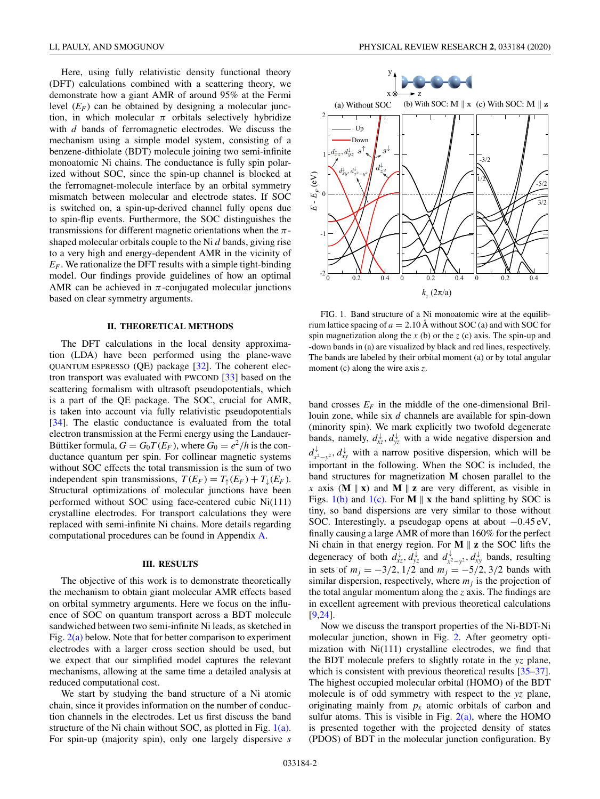<span id="page-1-0"></span>Here, using fully relativistic density functional theory (DFT) calculations combined with a scattering theory, we demonstrate how a giant AMR of around 95% at the Fermi level  $(E_F)$  can be obtained by designing a molecular junction, in which molecular  $\pi$  orbitals selectively hybridize with *d* bands of ferromagnetic electrodes. We discuss the mechanism using a simple model system, consisting of a benzene-dithiolate (BDT) molecule joining two semi-infinite monoatomic Ni chains. The conductance is fully spin polarized without SOC, since the spin-up channel is blocked at the ferromagnet-molecule interface by an orbital symmetry mismatch between molecular and electrode states. If SOC is switched on, a spin-up-derived channel fully opens due to spin-flip events. Furthermore, the SOC distinguishes the transmissions for different magnetic orientations when the  $\pi$ shaped molecular orbitals couple to the Ni *d* bands, giving rise to a very high and energy-dependent AMR in the vicinity of  $E_F$ . We rationalize the DFT results with a simple tight-binding model. Our findings provide guidelines of how an optimal AMR can be achieved in  $\pi$ -conjugated molecular junctions based on clear symmetry arguments.

#### **II. THEORETICAL METHODS**

The DFT calculations in the local density approximation (LDA) have been performed using the plane-wave QUANTUM ESPRESSO  $(QE)$  package  $[32]$ . The coherent electron transport was evaluated with PWCOND [\[33\]](#page-7-0) based on the scattering formalism with ultrasoft pseudopotentials, which is a part of the QE package. The SOC, crucial for AMR, is taken into account via fully relativistic pseudopotentials [\[34\]](#page-7-0). The elastic conductance is evaluated from the total electron transmission at the Fermi energy using the Landauer-Büttiker formula,  $G = G_0 T(E_F)$ , where  $G_0 = e^2/h$  is the conductance quantum per spin. For collinear magnetic systems without SOC effects the total transmission is the sum of two independent spin transmissions,  $T(E_F) = T_1(E_F) + T_1(E_F)$ . Structural optimizations of molecular junctions have been performed without SOC using face-centered cubic Ni(111) crystalline electrodes. For transport calculations they were replaced with semi-infinite Ni chains. More details regarding computational procedures can be found in Appendix [A.](#page-5-0)

### **III. RESULTS**

The objective of this work is to demonstrate theoretically the mechanism to obtain giant molecular AMR effects based on orbital symmetry arguments. Here we focus on the influence of SOC on quantum transport across a BDT molecule sandwiched between two semi-infinite Ni leads, as sketched in Fig. [2\(a\)](#page-2-0) below. Note that for better comparison to experiment electrodes with a larger cross section should be used, but we expect that our simplified model captures the relevant mechanisms, allowing at the same time a detailed analysis at reduced computational cost.

We start by studying the band structure of a Ni atomic chain, since it provides information on the number of conduction channels in the electrodes. Let us first discuss the band structure of the Ni chain without SOC, as plotted in Fig. 1(a). For spin-up (majority spin), only one largely dispersive *s*



FIG. 1. Band structure of a Ni monoatomic wire at the equilibrium lattice spacing of  $a = 2.10 \text{ Å}$  without SOC (a) and with SOC for spin magnetization along the *x* (b) or the *z* (c) axis. The spin-up and -down bands in (a) are visualized by black and red lines, respectively. The bands are labeled by their orbital moment (a) or by total angular moment (c) along the wire axis *z*.

band crosses  $E_F$  in the middle of the one-dimensional Brillouin zone, while six *d* channels are available for spin-down (minority spin). We mark explicitly two twofold degenerate bands, namely,  $d_{xz}^{\downarrow}, d_{yz}^{\downarrow}$  with a wide negative dispersion and  $d_{x^2-y^2}^{\downarrow}$ ,  $d_{xy}^{\downarrow}$  with a narrow positive dispersion, which will be important in the following. When the SOC is included, the band structures for magnetization **M** chosen parallel to the *x* axis (**M**  $\parallel$  **x**) and **M**  $\parallel$  **z** are very different, as visible in Figs.  $1(b)$  and  $1(c)$ . For **M**  $\parallel$  **x** the band splitting by SOC is tiny, so band dispersions are very similar to those without SOC. Interestingly, a pseudogap opens at about −0.45 eV, finally causing a large AMR of more than 160% for the perfect Ni chain in that energy region. For  $M \parallel z$  the SOC lifts the degeneracy of both  $d_{xz}^{\downarrow}$ ,  $d_{yz}^{\downarrow}$  and  $d_{x^2-y^2}^{\downarrow}$ ,  $d_{xy}^{\downarrow}$  bands, resulting in sets of  $m_j = -3/2$ ,  $1/2$  and  $m_j = -5/2$ ,  $3/2$  bands with similar dispersion, respectively, where  $m<sub>j</sub>$  is the projection of the total angular momentum along the *z* axis. The findings are in excellent agreement with previous theoretical calculations [\[9](#page-6-0)[,24\]](#page-7-0).

Now we discuss the transport properties of the Ni-BDT-Ni molecular junction, shown in Fig. [2.](#page-2-0) After geometry optimization with Ni(111) crystalline electrodes, we find that the BDT molecule prefers to slightly rotate in the *yz* plane, which is consistent with previous theoretical results  $[35-37]$ . The highest occupied molecular orbital (HOMO) of the BDT molecule is of odd symmetry with respect to the *yz* plane, originating mainly from  $p_x$  atomic orbitals of carbon and sulfur atoms. This is visible in Fig.  $2(a)$ , where the HOMO is presented together with the projected density of states (PDOS) of BDT in the molecular junction configuration. By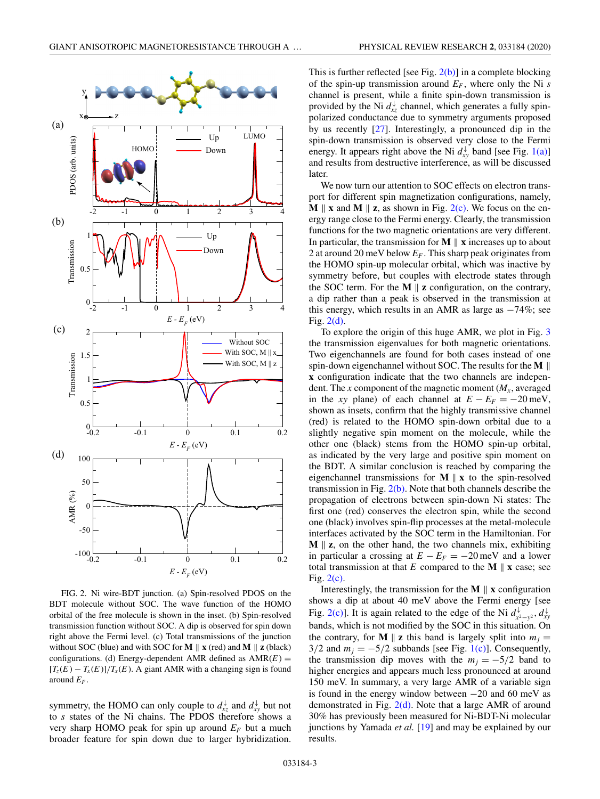<span id="page-2-0"></span>

FIG. 2. Ni wire-BDT junction. (a) Spin-resolved PDOS on the BDT molecule without SOC. The wave function of the HOMO orbital of the free molecule is shown in the inset. (b) Spin-resolved transmission function without SOC. A dip is observed for spin down right above the Fermi level. (c) Total transmissions of the junction without SOC (blue) and with SOC for  $M \parallel x$  (red) and  $M \parallel z$  (black) configurations. (d) Energy-dependent AMR defined as AMR(*E*) =  $[T_z(E) - T_x(E)]/T_x(E)$ . A giant AMR with a changing sign is found around *EF* .

symmetry, the HOMO can only couple to  $d_{xz}^{\downarrow}$  and  $d_{xy}^{\downarrow}$  but not to *s* states of the Ni chains. The PDOS therefore shows a very sharp HOMO peak for spin up around  $E_F$  but a much broader feature for spin down due to larger hybridization.

This is further reflected [see Fig. 2(b)] in a complete blocking of the spin-up transmission around  $E_F$ , where only the Ni *s* channel is present, while a finite spin-down transmission is provided by the Ni  $d_{xz}^{\downarrow}$  channel, which generates a fully spinpolarized conductance due to symmetry arguments proposed by us recently [\[27\]](#page-7-0). Interestingly, a pronounced dip in the spin-down transmission is observed very close to the Fermi energy. It appears right above the Ni  $d_{xy}^{\downarrow}$  band [see Fig. [1\(a\)\]](#page-1-0) and results from destructive interference, as will be discussed later.

We now turn our attention to SOC effects on electron transport for different spin magnetization configurations, namely, **M**  $\parallel$  **x** and **M**  $\parallel$  **z**, as shown in Fig. 2(c). We focus on the energy range close to the Fermi energy. Clearly, the transmission functions for the two magnetic orientations are very different. In particular, the transmission for  $M \parallel x$  increases up to about 2 at around 20 meV below  $E_F$ . This sharp peak originates from the HOMO spin-up molecular orbital, which was inactive by symmetry before, but couples with electrode states through the SOC term. For the  $M \parallel z$  configuration, on the contrary, a dip rather than a peak is observed in the transmission at this energy, which results in an AMR as large as  $-74\%$ ; see Fig. 2(d).

To explore the origin of this huge AMR, we plot in Fig. [3](#page-3-0) the transmission eigenvalues for both magnetic orientations. Two eigenchannels are found for both cases instead of one spin-down eigenchannel without SOC. The results for the **M**  $\parallel$ **x** configuration indicate that the two channels are independent. The *x* component of the magnetic moment  $(M_x, \text{averaged})$ in the *xy* plane) of each channel at  $E - E_F = -20$  meV, shown as insets, confirm that the highly transmissive channel (red) is related to the HOMO spin-down orbital due to a slightly negative spin moment on the molecule, while the other one (black) stems from the HOMO spin-up orbital, as indicated by the very large and positive spin moment on the BDT. A similar conclusion is reached by comparing the eigenchannel transmissions for  $M \parallel x$  to the spin-resolved transmission in Fig.  $2(b)$ . Note that both channels describe the propagation of electrons between spin-down Ni states: The first one (red) conserves the electron spin, while the second one (black) involves spin-flip processes at the metal-molecule interfaces activated by the SOC term in the Hamiltonian. For **M**  $\parallel$  **z**, on the other hand, the two channels mix, exhibiting in particular a crossing at  $E - E_F = -20$  meV and a lower total transmission at that *E* compared to the **M**  $\parallel$  **x** case; see Fig. 2(c).

Interestingly, the transmission for the  $M \parallel x$  configuration shows a dip at about 40 meV above the Fermi energy [see Fig. 2(c)]. It is again related to the edge of the Ni  $d_{x^2-y^2}^{\downarrow}$ ,  $d_{xy}^{\downarrow}$ bands, which is not modified by the SOC in this situation. On the contrary, for **M**  $\parallel$  **z** this band is largely split into  $m_j =$ 3/2 and  $m_j = -5/2$  subbands [see Fig. [1\(c\)\]](#page-1-0). Consequently, the transmission dip moves with the  $m_j = -5/2$  band to higher energies and appears much less pronounced at around 150 meV. In summary, a very large AMR of a variable sign is found in the energy window between −20 and 60 meV as demonstrated in Fig.  $2(d)$ . Note that a large AMR of around 30% has previously been measured for Ni-BDT-Ni molecular junctions by Yamada *et al.* [\[19\]](#page-6-0) and may be explained by our results.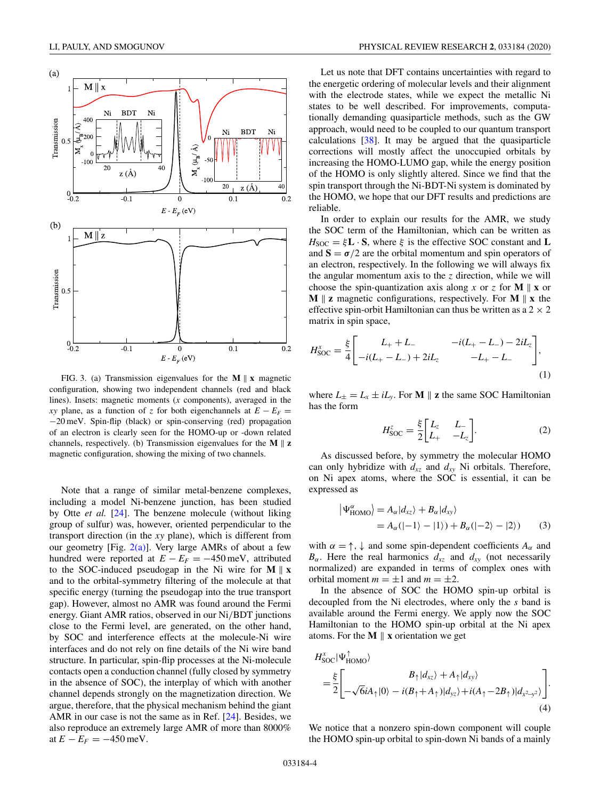<span id="page-3-0"></span>

FIG. 3. (a) Transmission eigenvalues for the  $M \parallel x$  magnetic configuration, showing two independent channels (red and black lines). Insets: magnetic moments (*x* components), averaged in the *xy* plane, as a function of *z* for both eigenchannels at  $E - E_F =$ −20 meV. Spin-flip (black) or spin-conserving (red) propagation of an electron is clearly seen for the HOMO-up or -down related channels, respectively. (b) Transmission eigenvalues for the  $M \parallel z$ magnetic configuration, showing the mixing of two channels.

Note that a range of similar metal-benzene complexes, including a model Ni-benzene junction, has been studied by Otte *et al.* [\[24\]](#page-7-0). The benzene molecule (without liking group of sulfur) was, however, oriented perpendicular to the transport direction (in the *xy* plane), which is different from our geometry [Fig.  $2(a)$ ]. Very large AMRs of about a few hundred were reported at  $E - E_F = -450$  meV, attributed to the SOC-induced pseudogap in the Ni wire for  $M \parallel x$ and to the orbital-symmetry filtering of the molecule at that specific energy (turning the pseudogap into the true transport gap). However, almost no AMR was found around the Fermi energy. Giant AMR ratios, observed in our Ni/BDT junctions close to the Fermi level, are generated, on the other hand, by SOC and interference effects at the molecule-Ni wire interfaces and do not rely on fine details of the Ni wire band structure. In particular, spin-flip processes at the Ni-molecule contacts open a conduction channel (fully closed by symmetry in the absence of SOC), the interplay of which with another channel depends strongly on the magnetization direction. We argue, therefore, that the physical mechanism behind the giant AMR in our case is not the same as in Ref. [\[24\]](#page-7-0). Besides, we also reproduce an extremely large AMR of more than 8000% at  $E - E_F = -450$  meV.

Let us note that DFT contains uncertainties with regard to the energetic ordering of molecular levels and their alignment with the electrode states, while we expect the metallic Ni states to be well described. For improvements, computationally demanding quasiparticle methods, such as the GW approach, would need to be coupled to our quantum transport calculations [\[38\]](#page-7-0). It may be argued that the quasiparticle corrections will mostly affect the unoccupied orbitals by increasing the HOMO-LUMO gap, while the energy position of the HOMO is only slightly altered. Since we find that the spin transport through the Ni-BDT-Ni system is dominated by the HOMO, we hope that our DFT results and predictions are reliable.

In order to explain our results for the AMR, we study the SOC term of the Hamiltonian, which can be written as  $H_{\text{SOC}} = \xi \mathbf{L} \cdot \mathbf{S}$ , where  $\xi$  is the effective SOC constant and **L** and  $S = \sigma/2$  are the orbital momentum and spin operators of an electron, respectively. In the following we will always fix the angular momentum axis to the *z* direction, while we will choose the spin-quantization axis along *x* or *z* for **M**  $\parallel$  **x** or **M**  $\parallel$  **z** magnetic configurations, respectively. For **M**  $\parallel$  **x** the effective spin-orbit Hamiltonian can thus be written as a  $2 \times 2$ matrix in spin space,

$$
H_{\text{SOC}}^{x} = \frac{\xi}{4} \begin{bmatrix} L_{+} + L_{-} & -i(L_{+} - L_{-}) - 2iL_{z} \\ -i(L_{+} - L_{-}) + 2iL_{z} & -L_{+} - L_{-} \end{bmatrix},
$$
\n(1)

where  $L_{\pm} = L_x \pm iL_y$ . For **M**  $\parallel$  **z** the same SOC Hamiltonian has the form

$$
H_{\text{SOC}}^{z} = \frac{\xi}{2} \begin{bmatrix} L_{z} & L_{-} \\ L_{+} & -L_{z} \end{bmatrix}.
$$
 (2)

As discussed before, by symmetry the molecular HOMO can only hybridize with  $d_{xz}$  and  $d_{xy}$  Ni orbitals. Therefore, on Ni apex atoms, where the SOC is essential, it can be expressed as

$$
\begin{aligned} \left| \Psi_{\text{HOMO}}^{\alpha} \right\rangle &= A_{\alpha} | d_{xz} \rangle + B_{\alpha} | d_{xy} \rangle \\ &= A_{\alpha} (|-1\rangle - |1\rangle) + B_{\alpha} (|-2\rangle - |2\rangle) \end{aligned} \tag{3}
$$

with  $\alpha = \uparrow, \downarrow$  and some spin-dependent coefficients  $A_{\alpha}$  and  $B_{\alpha}$ . Here the real harmonics  $d_{xz}$  and  $d_{xy}$  (not necessarily normalized) are expanded in terms of complex ones with orbital moment  $m = \pm 1$  and  $m = \pm 2$ .

In the absence of SOC the HOMO spin-up orbital is decoupled from the Ni electrodes, where only the *s* band is available around the Fermi energy. We apply now the SOC Hamiltonian to the HOMO spin-up orbital at the Ni apex atoms. For the  $M \parallel x$  orientation we get

$$
H_{\text{SOC}}^{x}|\Psi_{\text{HOMO}}^{\uparrow}\rangle
$$
  
=
$$
\frac{\xi}{2}\left[\begin{matrix}B_{\uparrow}|d_{xz}\rangle+A_{\uparrow}|d_{xy}\rangle\\-\sqrt{6}iA_{\uparrow}|0\rangle-i(B_{\uparrow}+A_{\uparrow})|d_{yz}\rangle+i(A_{\uparrow}-2B_{\uparrow})|d_{x^{2}\to y^{2}}\rangle\end{matrix}\right].
$$
(4)

We notice that a nonzero spin-down component will couple the HOMO spin-up orbital to spin-down Ni bands of a mainly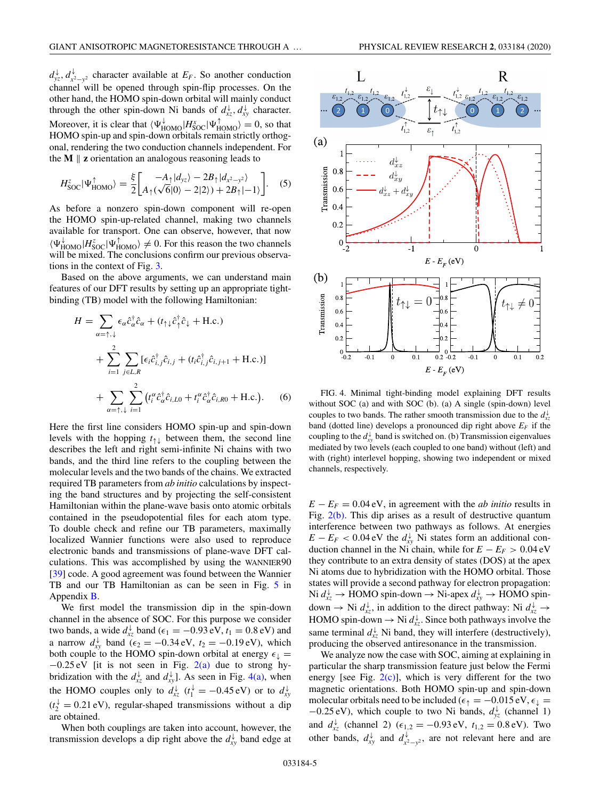<span id="page-4-0"></span> $d_{yz}^{\downarrow}$ ,  $d_{x^2-y^2}^{\downarrow}$  character available at *E<sub>F</sub>*. So another conduction channel will be opened through spin-flip processes. On the other hand, the HOMO spin-down orbital will mainly conduct through the other spin-down Ni bands of  $d_{xz}^{\downarrow}, d_{xy}^{\downarrow}$  character. Moreover, it is clear that  $\langle \Psi_{\text{HOMO}}^{\downarrow} | H_{\text{SOC}}^{\text{x}} | \Psi_{\text{HOMO}}^{\uparrow} \rangle = 0$ , so that HOMO spin-up and spin-down orbitals remain strictly orthogonal, rendering the two conduction channels independent. For the  $M \parallel z$  orientation an analogous reasoning leads to

$$
H_{\text{SOC}}^{z}|\Psi_{\text{HOMO}}^{\uparrow}\rangle = \frac{\xi}{2} \begin{bmatrix} -A_{\uparrow}|d_{yz}\rangle - 2B_{\uparrow}|d_{x^{2}-y^{2}}\rangle\\ A_{\uparrow}(\sqrt{6}|0\rangle - 2|2\rangle) + 2B_{\uparrow}|-1\rangle \end{bmatrix}.
$$
 (5)

As before a nonzero spin-down component will re-open the HOMO spin-up-related channel, making two channels available for transport. One can observe, however, that now  $\langle \Psi_{\text{HOMO}}^{\downarrow} | H_{\text{SOC}}^{\uparrow} | \Psi_{\text{HOMO}}^{\uparrow} \rangle \neq 0$ . For this reason the two channels will be mixed. The conclusions confirm our previous observations in the context of Fig. [3.](#page-3-0)

Based on the above arguments, we can understand main features of our DFT results by setting up an appropriate tightbinding (TB) model with the following Hamiltonian:

$$
H = \sum_{\alpha = \uparrow, \downarrow} \epsilon_{\alpha} \hat{c}_{\alpha}^{\dagger} \hat{c}_{\alpha} + (t_{\uparrow\downarrow} \hat{c}_{\uparrow}^{\dagger} \hat{c}_{\downarrow} + \text{H.c.})
$$
  
+ 
$$
\sum_{i=1}^{2} \sum_{j \in L, R} [\epsilon_{i} \hat{c}_{i,j}^{\dagger} \hat{c}_{i,j} + (t_{i} \hat{c}_{i,j}^{\dagger} \hat{c}_{i,j+1} + \text{H.c.})]
$$
  
+ 
$$
\sum_{\alpha = \uparrow, \downarrow} \sum_{i=1}^{2} (t_{i}^{\alpha} \hat{c}_{\alpha}^{\dagger} \hat{c}_{i,LO} + t_{i}^{\alpha} \hat{c}_{\alpha}^{\dagger} \hat{c}_{i,RO} + \text{H.c.}).
$$
 (6)

Here the first line considers HOMO spin-up and spin-down levels with the hopping *t*↑↓ between them, the second line describes the left and right semi-infinite Ni chains with two bands, and the third line refers to the coupling between the molecular levels and the two bands of the chains. We extracted required TB parameters from *ab initio* calculations by inspecting the band structures and by projecting the self-consistent Hamiltonian within the plane-wave basis onto atomic orbitals contained in the pseudopotential files for each atom type. To double check and refine our TB parameters, maximally localized Wannier functions were also used to reproduce electronic bands and transmissions of plane-wave DFT calculations. This was accomplished by using the WANNIER90 [\[39\]](#page-7-0) code. A good agreement was found between the Wannier TB and our TB Hamiltonian as can be seen in Fig. [5](#page-6-0) in Appendix [B.](#page-5-0)

We first model the transmission dip in the spin-down channel in the absence of SOC. For this purpose we consider two bands, a wide  $d_{xz}^{\downarrow}$  band ( $\epsilon_1 = -0.93 \text{ eV}$ ,  $t_1 = 0.8 \text{ eV}$ ) and a narrow  $d_{xy}^{\downarrow}$  band ( $\epsilon_2 = -0.34 \text{ eV}$ ,  $t_2 = -0.19 \text{ eV}$ ), which both couple to the HOMO spin-down orbital at energy  $\epsilon_{\downarrow}$  =  $-0.25$  eV [it is not seen in Fig. [2\(a\)](#page-2-0) due to strong hybridization with the  $d_{xz}^{\downarrow}$  and  $d_{xy}^{\downarrow}$ . As seen in Fig. 4(a), when the HOMO couples only to  $d_{xz}^{\downarrow}$  ( $t_1^{\downarrow} = -0.45 \text{ eV}$ ) or to  $d_{xy}^{\downarrow}$  $(t_2^{\downarrow} = 0.21 \text{ eV})$ , regular-shaped transmissions without a dip are obtained.

When both couplings are taken into account, however, the transmission develops a dip right above the  $d_{xy}^{\downarrow}$  band edge at



FIG. 4. Minimal tight-binding model explaining DFT results without SOC (a) and with SOC (b). (a) A single (spin-down) level couples to two bands. The rather smooth transmission due to the  $d_{xz}^{\downarrow}$ band (dotted line) develops a pronounced dip right above  $E_F$  if the coupling to the  $d_{xy}^{\downarrow}$  band is switched on. (b) Transmission eigenvalues mediated by two levels (each coupled to one band) without (left) and with (right) interlevel hopping, showing two independent or mixed channels, respectively.

 $E - E_F = 0.04$  eV, in agreement with the *ab initio* results in Fig.  $2(b)$ . This dip arises as a result of destructive quantum interference between two pathways as follows. At energies  $E - E_F < 0.04$  eV the  $d_{xy}^{\downarrow}$  Ni states form an additional conduction channel in the Ni chain, while for  $E - E_F > 0.04$  eV they contribute to an extra density of states (DOS) at the apex Ni atoms due to hybridization with the HOMO orbital. Those states will provide a second pathway for electron propagation: Ni  $d_{xz}^{↓}$  → HOMO spin-down → Ni-apex  $d_{xy}^{↓}$  → HOMO spindown  $\rightarrow$  Ni  $d_{xz}^{\downarrow}$ , in addition to the direct pathway: Ni  $d_{xz}^{\downarrow} \rightarrow$ HOMO spin-down  $\rightarrow$  Ni  $d_{xz}^{\downarrow}$ . Since both pathways involve the same terminal  $d_{xz}^{\downarrow}$  Ni band, they will interfere (destructively), producing the observed antiresonance in the transmission.

We analyze now the case with SOC, aiming at explaining in particular the sharp transmission feature just below the Fermi energy [see Fig.  $2(c)$ ], which is very different for the two magnetic orientations. Both HOMO spin-up and spin-down molecular orbitals need to be included ( $\epsilon_{\uparrow} = -0.015 \text{ eV}, \epsilon_{\downarrow} =$ −0.25 eV), which couple to two Ni bands, *d*<sup>↓</sup> *yz* (channel 1) and  $d_{xz}^{↓}$  (channel 2) ( $\epsilon_{1,2} = -0.93 \text{ eV}$ ,  $t_{1,2} = 0.8 \text{ eV}$ ). Two other bands,  $d_{xy}^{\downarrow}$  and  $d_{x^2-y^2}^{\downarrow}$ , are not relevant here and are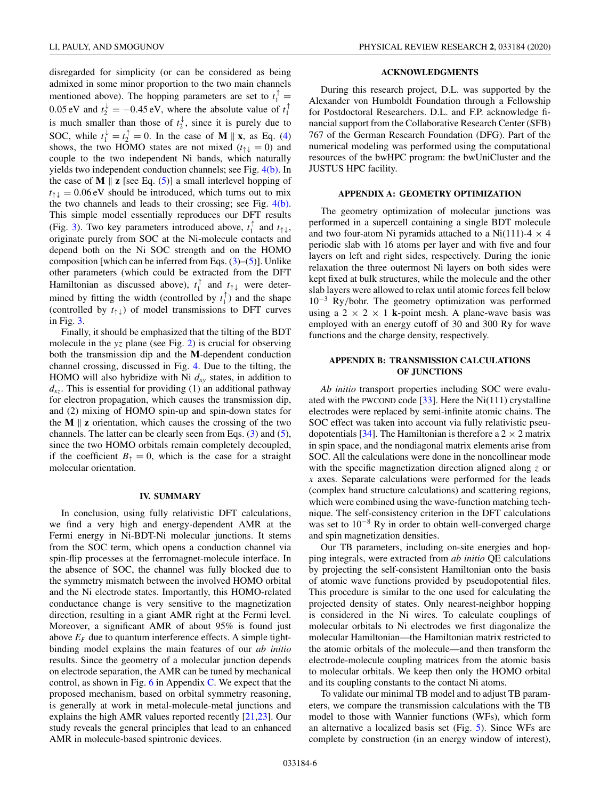<span id="page-5-0"></span>disregarded for simplicity (or can be considered as being admixed in some minor proportion to the two main channels mentioned above). The hopping parameters are set to  $t_1^{\uparrow} =$ 0.05 eV and  $t_2^+ = -0.45$  eV, where the absolute value of  $t_1^{\uparrow}$ is much smaller than those of  $t_2^*$ , since it is purely due to SOC, while  $t_1^{\downarrow} = t_2^{\uparrow} = 0$ . In the case of **M** || **x**, as Eq. [\(4\)](#page-3-0) shows, the two HOMO states are not mixed ( $t_{\uparrow\downarrow} = 0$ ) and couple to the two independent Ni bands, which naturally yields two independent conduction channels; see Fig. [4\(b\).](#page-4-0) In the case of **M**  $\parallel$  **z** [see Eq. [\(5\)](#page-4-0)] a small interlevel hopping of  $t_{\uparrow\downarrow} = 0.06$  eV should be introduced, which turns out to mix the two channels and leads to their crossing; see Fig. [4\(b\).](#page-4-0) This simple model essentially reproduces our DFT results (Fig. [3\)](#page-3-0). Two key parameters introduced above,  $t_1^{\uparrow}$  and  $t_{\uparrow\downarrow}$ , originate purely from SOC at the Ni-molecule contacts and depend both on the Ni SOC strength and on the HOMO composition [which can be inferred from Eqs.  $(3)$ – $(5)$ ]. Unlike other parameters (which could be extracted from the DFT Hamiltonian as discussed above),  $t_1^{\dagger}$  and  $t_{\uparrow\downarrow}$  were determined by fitting the width (controlled by  $t_1^{\uparrow}$ ) and the shape (controlled by  $t_{\uparrow\downarrow}$ ) of model transmissions to DFT curves in Fig. [3.](#page-3-0)

Finally, it should be emphasized that the tilting of the BDT molecule in the *yz* plane (see Fig. [2\)](#page-2-0) is crucial for observing both the transmission dip and the **M**-dependent conduction channel crossing, discussed in Fig. [4.](#page-4-0) Due to the tilting, the HOMO will also hybridize with Ni  $d_{xy}$  states, in addition to  $d_{xz}$ . This is essential for providing (1) an additional pathway for electron propagation, which causes the transmission dip, and (2) mixing of HOMO spin-up and spin-down states for the **M**  $\parallel$  **z** orientation, which causes the crossing of the two channels. The latter can be clearly seen from Eqs. [\(3\)](#page-3-0) and [\(5\)](#page-4-0), since the two HOMO orbitals remain completely decoupled, if the coefficient  $B_+ = 0$ , which is the case for a straight molecular orientation.

#### **IV. SUMMARY**

In conclusion, using fully relativistic DFT calculations, we find a very high and energy-dependent AMR at the Fermi energy in Ni-BDT-Ni molecular junctions. It stems from the SOC term, which opens a conduction channel via spin-flip processes at the ferromagnet-molecule interface. In the absence of SOC, the channel was fully blocked due to the symmetry mismatch between the involved HOMO orbital and the Ni electrode states. Importantly, this HOMO-related conductance change is very sensitive to the magnetization direction, resulting in a giant AMR right at the Fermi level. Moreover, a significant AMR of about 95% is found just above  $E_F$  due to quantum interference effects. A simple tightbinding model explains the main features of our *ab initio* results. Since the geometry of a molecular junction depends on electrode separation, the AMR can be tuned by mechanical control, as shown in Fig.  $6$  in Appendix [C.](#page-6-0) We expect that the proposed mechanism, based on orbital symmetry reasoning, is generally at work in metal-molecule-metal junctions and explains the high AMR values reported recently [\[21,23\]](#page-7-0). Our study reveals the general principles that lead to an enhanced AMR in molecule-based spintronic devices.

## **ACKNOWLEDGMENTS**

During this research project, D.L. was supported by the Alexander von Humboldt Foundation through a Fellowship for Postdoctoral Researchers. D.L. and F.P. acknowledge financial support from the Collaborative Research Center (SFB) 767 of the German Research Foundation (DFG). Part of the numerical modeling was performed using the computational resources of the bwHPC program: the bwUniCluster and the JUSTUS HPC facility.

#### **APPENDIX A: GEOMETRY OPTIMIZATION**

The geometry optimization of molecular junctions was performed in a supercell containing a single BDT molecule and two four-atom Ni pyramids attached to a Ni(111)-4  $\times$  4 periodic slab with 16 atoms per layer and with five and four layers on left and right sides, respectively. During the ionic relaxation the three outermost Ni layers on both sides were kept fixed at bulk structures, while the molecule and the other slab layers were allowed to relax until atomic forces fell below 10−<sup>3</sup> Ry/bohr. The geometry optimization was performed using a  $2 \times 2 \times 1$  **k**-point mesh. A plane-wave basis was employed with an energy cutoff of 30 and 300 Ry for wave functions and the charge density, respectively.

## **APPENDIX B: TRANSMISSION CALCULATIONS OF JUNCTIONS**

*Ab initio* transport properties including SOC were evaluated with the PWCOND code [ $33$ ]. Here the Ni(111) crystalline electrodes were replaced by semi-infinite atomic chains. The SOC effect was taken into account via fully relativistic pseu-dopotentials [\[34\]](#page-7-0). The Hamiltonian is therefore a  $2 \times 2$  matrix in spin space, and the nondiagonal matrix elements arise from SOC. All the calculations were done in the noncollinear mode with the specific magnetization direction aligned along *z* or *x* axes. Separate calculations were performed for the leads (complex band structure calculations) and scattering regions, which were combined using the wave-function matching technique. The self-consistency criterion in the DFT calculations was set to  $10^{-8}$  Ry in order to obtain well-converged charge and spin magnetization densities.

Our TB parameters, including on-site energies and hopping integrals, were extracted from *ab initio* QE calculations by projecting the self-consistent Hamiltonian onto the basis of atomic wave functions provided by pseudopotential files. This procedure is similar to the one used for calculating the projected density of states. Only nearest-neighbor hopping is considered in the Ni wires. To calculate couplings of molecular orbitals to Ni electrodes we first diagonalize the molecular Hamiltonian—the Hamiltonian matrix restricted to the atomic orbitals of the molecule—and then transform the electrode-molecule coupling matrices from the atomic basis to molecular orbitals. We keep then only the HOMO orbital and its coupling constants to the contact Ni atoms.

To validate our minimal TB model and to adjust TB parameters, we compare the transmission calculations with the TB model to those with Wannier functions (WFs), which form an alternative a localized basis set (Fig. [5\)](#page-6-0). Since WFs are complete by construction (in an energy window of interest),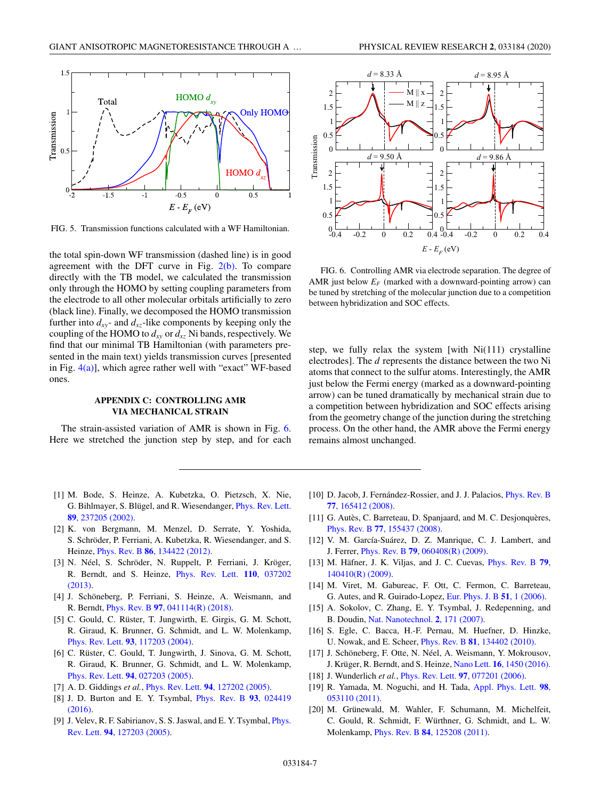<span id="page-6-0"></span>

FIG. 5. Transmission functions calculated with a WF Hamiltonian.

the total spin-down WF transmission (dashed line) is in good agreement with the DFT curve in Fig.  $2(b)$ . To compare directly with the TB model, we calculated the transmission only through the HOMO by setting coupling parameters from the electrode to all other molecular orbitals artificially to zero (black line). Finally, we decomposed the HOMO transmission further into  $d_{xy}$ - and  $d_{xz}$ -like components by keeping only the coupling of the HOMO to  $d_{xy}$  or  $d_{xz}$  Ni bands, respectively. We find that our minimal TB Hamiltonian (with parameters presented in the main text) yields transmission curves [presented in Fig.  $4(a)$ ], which agree rather well with "exact" WF-based ones.

## **APPENDIX C: CONTROLLING AMR VIA MECHANICAL STRAIN**

The strain-assisted variation of AMR is shown in Fig. 6. Here we stretched the junction step by step, and for each



 $-0.4$   $-0.2$  0 0.2 0.4  $^{0}_{-0.4}$ 0.5 1  $-0.4$   $-0.2$  0 0.2 0.4  $\boldsymbol{0}$  $0.5$ 1  $E - E<sub>F</sub>$  (eV)

FIG. 6. Controlling AMR via electrode separation. The degree of AMR just below  $E_F$  (marked with a downward-pointing arrow) can be tuned by stretching of the molecular junction due to a competition between hybridization and SOC effects.

step, we fully relax the system [with  $Ni(111)$  crystalline electrodes]. The *d* represents the distance between the two Ni atoms that connect to the sulfur atoms. Interestingly, the AMR just below the Fermi energy (marked as a downward-pointing arrow) can be tuned dramatically by mechanical strain due to a competition between hybridization and SOC effects arising from the geometry change of the junction during the stretching process. On the other hand, the AMR above the Fermi energy remains almost unchanged.

- [1] M. Bode, S. Heinze, A. Kubetzka, O. Pietzsch, X. Nie, [G. Bihlmayer, S. Blügel, and R. Wiesendanger,](https://doi.org/10.1103/PhysRevLett.89.237205) Phys. Rev. Lett. **89**, 237205 (2002).
- [2] K. von Bergmann, M. Menzel, D. Serrate, Y. Yoshida, S. Schröder, P. Ferriani, A. Kubetzka, R. Wiesendanger, and S. Heinze, Phys. Rev. B **86**[, 134422 \(2012\).](https://doi.org/10.1103/PhysRevB.86.134422)
- [3] N. Néel, S. Schröder, N. Ruppelt, P. Ferriani, J. Kröger, [R. Berndt, and S. Heinze,](https://doi.org/10.1103/PhysRevLett.110.037202) Phys. Rev. Lett. **110**, 037202 (2013).
- [4] J. Schöneberg, P. Ferriani, S. Heinze, A. Weismann, and R. Berndt, Phys. Rev. B **97**[, 041114\(R\) \(2018\).](https://doi.org/10.1103/PhysRevB.97.041114)
- [5] C. Gould, C. Rüster, T. Jungwirth, E. Girgis, G. M. Schott, R. Giraud, K. Brunner, G. Schmidt, and L. W. Molenkamp, Phys. Rev. Lett. **93**[, 117203 \(2004\).](https://doi.org/10.1103/PhysRevLett.93.117203)
- [6] C. Rüster, C. Gould, T. Jungwirth, J. Sinova, G. M. Schott, R. Giraud, K. Brunner, G. Schmidt, and L. W. Molenkamp, Phys. Rev. Lett. **94**[, 027203 \(2005\).](https://doi.org/10.1103/PhysRevLett.94.027203)
- [7] A. D. Giddings *et al.*, Phys. Rev. Lett. **94**[, 127202 \(2005\).](https://doi.org/10.1103/PhysRevLett.94.127202)
- [8] [J. D. Burton and E. Y. Tsymbal,](https://doi.org/10.1103/PhysRevB.93.024419) Phys. Rev. B **93**, 024419 (2016).
- [9] [J. Velev, R. F. Sabirianov, S. S. Jaswal, and E. Y. Tsymbal,](https://doi.org/10.1103/PhysRevLett.94.127203) *Phys.* Rev. Lett. **94**, 127203 (2005).
- [10] [D. Jacob, J. Fernández-Rossier, and J. J. Palacios,](https://doi.org/10.1103/PhysRevB.77.165412) Phys. Rev. B **77**, 165412 (2008).
- [11] G. Autès, C. Barreteau, D. Spanjaard, and M. C. Desjonquères, Phys. Rev. B **77**[, 155437 \(2008\).](https://doi.org/10.1103/PhysRevB.77.155437)
- [12] V. M. García-Suárez, D. Z. Manrique, C. J. Lambert, and J. Ferrer, Phys. Rev. B **79**[, 060408\(R\) \(2009\).](https://doi.org/10.1103/PhysRevB.79.060408)
- [13] [M. Häfner, J. K. Viljas, and J. C. Cuevas,](https://doi.org/10.1103/PhysRevB.79.140410) Phys. Rev. B **79**, 140410(R) (2009).
- [14] M. Viret, M. Gabureac, F. Ott, C. Fermon, C. Barreteau, G. Autes, and R. Guirado-Lopez, [Eur. Phys. J. B](https://doi.org/10.1140/epjb/e2006-00201-3) **51**, 1 (2006).
- [15] A. Sokolov, C. Zhang, E. Y. Tsymbal, J. Redepenning, and B. Doudin, [Nat. Nanotechnol.](https://doi.org/10.1038/nnano.2007.36) **2**, 171 (2007).
- [16] S. Egle, C. Bacca, H.-F. Pernau, M. Huefner, D. Hinzke, U. Nowak, and E. Scheer, Phys. Rev. B **81**[, 134402 \(2010\).](https://doi.org/10.1103/PhysRevB.81.134402)
- [17] J. Schöneberg, F. Otte, N. Néel, A. Weismann, Y. Mokrousov, J. Krüger, R. Berndt, and S. Heinze, Nano Lett. **16**[, 1450 \(2016\).](https://doi.org/10.1021/acs.nanolett.5b05071)
- [18] J. Wunderlich *et al.*, Phys. Rev. Lett. **97**[, 077201 \(2006\).](https://doi.org/10.1103/PhysRevLett.97.077201)
- [19] [R. Yamada, M. Noguchi, and H. Tada,](https://doi.org/10.1063/1.3549190) Appl. Phys. Lett. **98**, 053110 (2011).
- [20] M. Grünewald, M. Wahler, F. Schumann, M. Michelfeit, C. Gould, R. Schmidt, F. Würthner, G. Schmidt, and L. W. Molenkamp, Phys. Rev. B **84**[, 125208 \(2011\).](https://doi.org/10.1103/PhysRevB.84.125208)